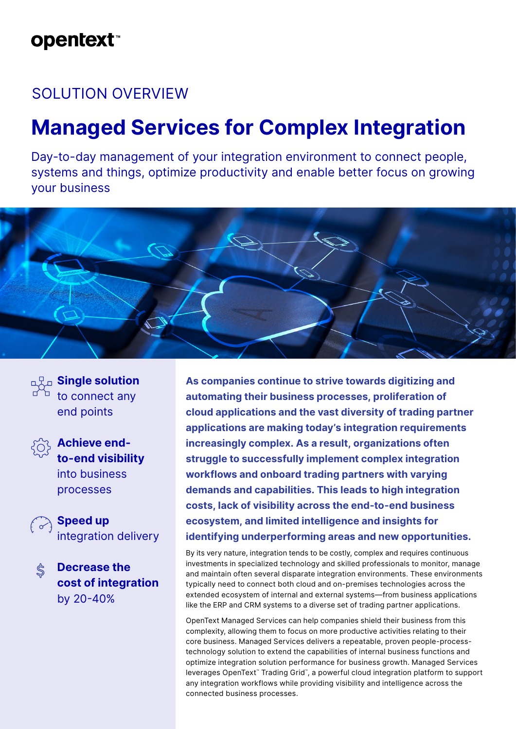## SOLUTION OVERVIEW

# **Managed Services for Complex Integration**

Day-to-day management of your integration environment to connect people, systems and things, optimize productivity and enable better focus on growing your business



**Single solution**



to connect any end points

**Achieve endto-end visibility** into business processes



 $\mathbb{S}$ 

**Speed up**  integration delivery

**Decrease the cost of integration** by 20-40%

**As companies continue to strive towards digitizing and automating their business processes, proliferation of cloud applications and the vast diversity of trading partner applications are making today's integration requirements increasingly complex. As a result, organizations often struggle to successfully implement complex integration workflows and onboard trading partners with varying demands and capabilities. This leads to high integration costs, lack of visibility across the end-to-end business ecosystem, and limited intelligence and insights for identifying underperforming areas and new opportunities.**

By its very nature, integration tends to be costly, complex and requires continuous investments in specialized technology and skilled professionals to monitor, manage and maintain often several disparate integration environments. These environments typically need to connect both cloud and on-premises technologies across the extended ecosystem of internal and external systems—from business applications like the ERP and CRM systems to a diverse set of trading partner applications.

OpenText Managed Services can help companies shield their business from this complexity, allowing them to focus on more productive activities relating to their core business. Managed Services delivers a repeatable, proven people-processtechnology solution to extend the capabilities of internal business functions and optimize integration solution performance for business growth. Managed Services leverages OpenText™ Trading Grid™, a powerful cloud integration platform to support any integration workflows while providing visibility and intelligence across the connected business processes.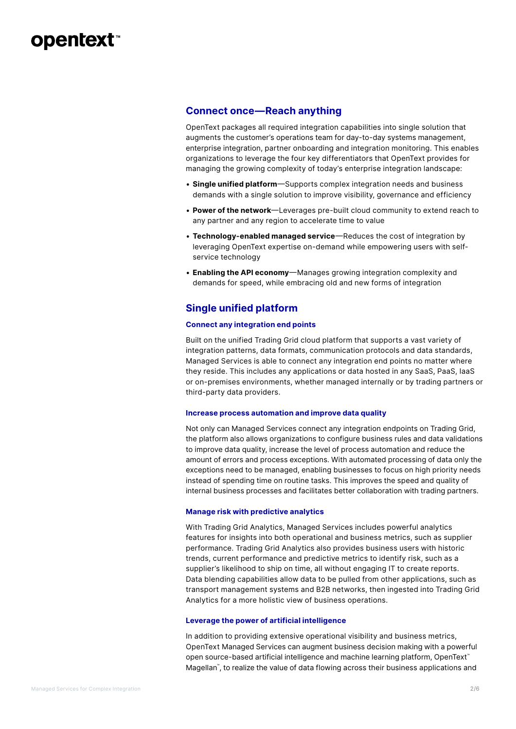## **Connect once—Reach anything**

OpenText packages all required integration capabilities into single solution that augments the customer's operations team for day-to-day systems management, enterprise integration, partner onboarding and integration monitoring. This enables organizations to leverage the four key differentiators that OpenText provides for managing the growing complexity of today's enterprise integration landscape:

- **Single unified platform**—Supports complex integration needs and business demands with a single solution to improve visibility, governance and efficiency
- **Power of the network**—Leverages pre-built cloud community to extend reach to any partner and any region to accelerate time to value
- **Technology-enabled managed service**—Reduces the cost of integration by leveraging OpenText expertise on-demand while empowering users with selfservice technology
- **Enabling the API economy**—Manages growing integration complexity and demands for speed, while embracing old and new forms of integration

## **Single unified platform**

### **Connect any integration end points**

Built on the unified Trading Grid cloud platform that supports a vast variety of integration patterns, data formats, communication protocols and data standards, Managed Services is able to connect any integration end points no matter where they reside. This includes any applications or data hosted in any SaaS, PaaS, IaaS or on-premises environments, whether managed internally or by trading partners or third-party data providers.

### **Increase process automation and improve data quality**

Not only can Managed Services connect any integration endpoints on Trading Grid, the platform also allows organizations to configure business rules and data validations to improve data quality, increase the level of process automation and reduce the amount of errors and process exceptions. With automated processing of data only the exceptions need to be managed, enabling businesses to focus on high priority needs instead of spending time on routine tasks. This improves the speed and quality of internal business processes and facilitates better collaboration with trading partners.

#### **Manage risk with predictive analytics**

With Trading Grid Analytics, Managed Services includes powerful analytics features for insights into both operational and business metrics, such as supplier performance. Trading Grid Analytics also provides business users with historic trends, current performance and predictive metrics to identify risk, such as a supplier's likelihood to ship on time, all without engaging IT to create reports. Data blending capabilities allow data to be pulled from other applications, such as transport management systems and B2B networks, then ingested into Trading Grid Analytics for a more holistic view of business operations.

#### **Leverage the power of artificial intelligence**

In addition to providing extensive operational visibility and business metrics, OpenText Managed Services can augment business decision making with a powerful open source-based artificial intelligence and machine learning platform, OpenText<sup>™</sup> Magellan™, to realize the value of data flowing across their business applications and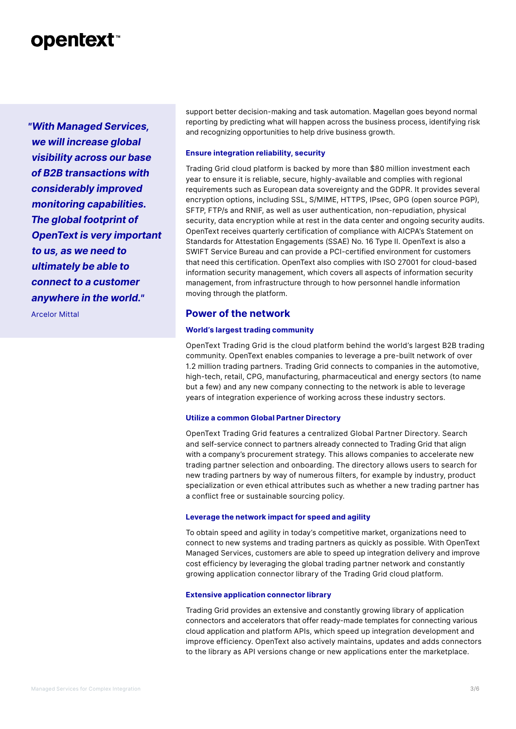*"With Managed Services, we will increase global visibility across our base of B2B transactions with considerably improved monitoring capabilities. The global footprint of OpenText is very important to us, as we need to ultimately be able to connect to a customer anywhere in the world."*

Arcelor Mittal

support better decision-making and task automation. Magellan goes beyond normal reporting by predicting what will happen across the business process, identifying risk and recognizing opportunities to help drive business growth.

### **Ensure integration reliability, security**

Trading Grid cloud platform is backed by more than \$80 million investment each year to ensure it is reliable, secure, highly-available and complies with regional requirements such as European data sovereignty and the GDPR. It provides several encryption options, including SSL, S/MIME, HTTPS, IPsec, GPG (open source PGP), SFTP, FTP/s and RNIF, as well as user authentication, non-repudiation, physical security, data encryption while at rest in the data center and ongoing security audits. OpenText receives quarterly certification of compliance with AICPA's Statement on Standards for Attestation Engagements (SSAE) No. 16 Type II. OpenText is also a SWIFT Service Bureau and can provide a PCI-certified environment for customers that need this certification. OpenText also complies with ISO 27001 for cloud-based information security management, which covers all aspects of information security management, from infrastructure through to how personnel handle information moving through the platform.

## **Power of the network**

### **World's largest trading community**

OpenText Trading Grid is the cloud platform behind the world's largest B2B trading community. OpenText enables companies to leverage a pre-built network of over 1.2 million trading partners. Trading Grid connects to companies in the automotive, high-tech, retail, CPG, manufacturing, pharmaceutical and energy sectors (to name but a few) and any new company connecting to the network is able to leverage years of integration experience of working across these industry sectors.

### **Utilize a common Global Partner Directory**

OpenText Trading Grid features a centralized Global Partner Directory. Search and self-service connect to partners already connected to Trading Grid that align with a company's procurement strategy. This allows companies to accelerate new trading partner selection and onboarding. The directory allows users to search for new trading partners by way of numerous filters, for example by industry, product specialization or even ethical attributes such as whether a new trading partner has a conflict free or sustainable sourcing policy.

### **Leverage the network impact for speed and agility**

To obtain speed and agility in today's competitive market, organizations need to connect to new systems and trading partners as quickly as possible. With OpenText Managed Services, customers are able to speed up integration delivery and improve cost efficiency by leveraging the global trading partner network and constantly growing application connector library of the Trading Grid cloud platform.

### **Extensive application connector library**

Trading Grid provides an extensive and constantly growing library of application connectors and accelerators that offer ready-made templates for connecting various cloud application and platform APIs, which speed up integration development and improve efficiency. OpenText also actively maintains, updates and adds connectors to the library as API versions change or new applications enter the marketplace.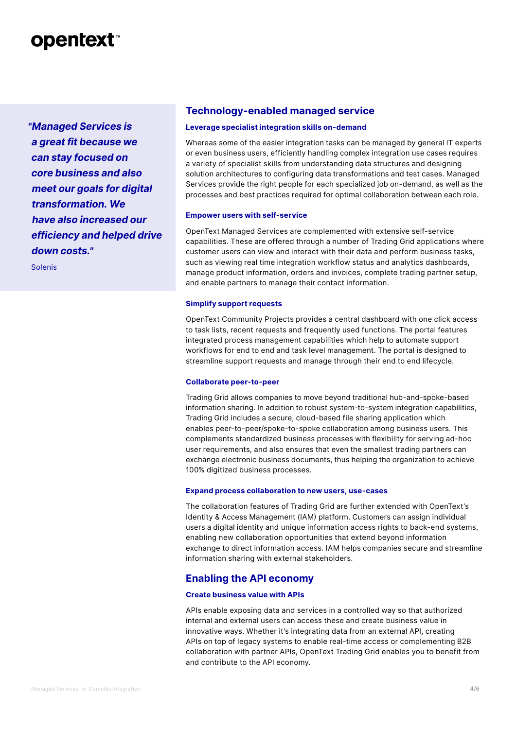*"Managed Services is a great fit because we can stay focused on core business and also meet our goals for digital transformation. We have also increased our efficiency and helped drive down costs."*

Solenis

## **Technology-enabled managed service**

## **Leverage specialist integration skills on-demand**

Whereas some of the easier integration tasks can be managed by general IT experts or even business users, efficiently handling complex integration use cases requires a variety of specialist skills from understanding data structures and designing solution architectures to configuring data transformations and test cases. Managed Services provide the right people for each specialized job on-demand, as well as the processes and best practices required for optimal collaboration between each role.

#### **Empower users with self-service**

OpenText Managed Services are complemented with extensive self-service capabilities. These are offered through a number of Trading Grid applications where customer users can view and interact with their data and perform business tasks, such as viewing real time integration workflow status and analytics dashboards, manage product information, orders and invoices, complete trading partner setup, and enable partners to manage their contact information.

#### **Simplify support requests**

OpenText Community Projects provides a central dashboard with one click access to task lists, recent requests and frequently used functions. The portal features integrated process management capabilities which help to automate support workflows for end to end and task level management. The portal is designed to streamline support requests and manage through their end to end lifecycle.

#### **Collaborate peer-to-peer**

Trading Grid allows companies to move beyond traditional hub-and-spoke-based information sharing. In addition to robust system-to-system integration capabilities, Trading Grid includes a secure, cloud-based file sharing application which enables peer-to-peer/spoke-to-spoke collaboration among business users. This complements standardized business processes with flexibility for serving ad-hoc user requirements, and also ensures that even the smallest trading partners can exchange electronic business documents, thus helping the organization to achieve 100% digitized business processes.

### **Expand process collaboration to new users, use-cases**

The collaboration features of Trading Grid are further extended with OpenText's Identity & Access Management (IAM) platform. Customers can assign individual users a digital identity and unique information access rights to back-end systems, enabling new collaboration opportunities that extend beyond information exchange to direct information access. IAM helps companies secure and streamline information sharing with external stakeholders.

## **Enabling the API economy**

### **Create business value with APIs**

APIs enable exposing data and services in a controlled way so that authorized internal and external users can access these and create business value in innovative ways. Whether it's integrating data from an external API, creating APIs on top of legacy systems to enable real-time access or complementing B2B collaboration with partner APIs, OpenText Trading Grid enables you to benefit from and contribute to the API economy.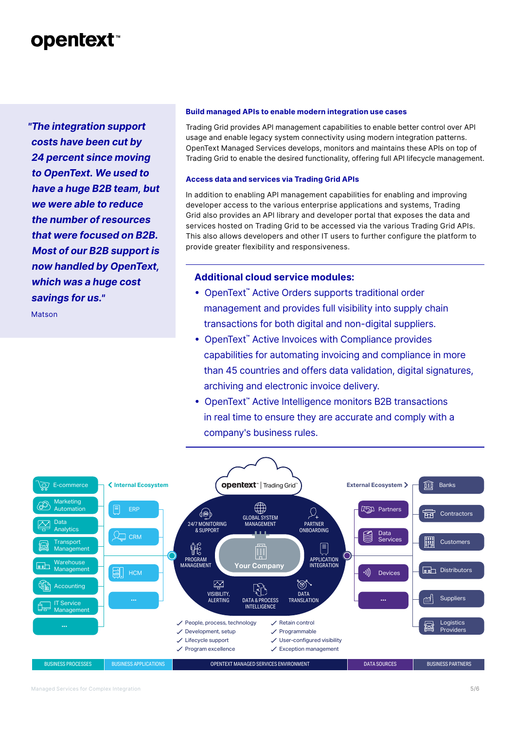*"The integration support costs have been cut by 24 percent since moving to OpenText. We used to have a huge B2B team, but we were able to reduce the number of resources that were focused on B2B. Most of our B2B support is now handled by OpenText, which was a huge cost savings for us."*

Matson

#### **Build managed APIs to enable modern integration use cases**

Trading Grid provides API management capabilities to enable better control over API usage and enable legacy system connectivity using modern integration patterns. OpenText Managed Services develops, monitors and maintains these APIs on top of Trading Grid to enable the desired functionality, offering full API lifecycle management.

### **Access data and services via Trading Grid APIs**

In addition to enabling API management capabilities for enabling and improving developer access to the various enterprise applications and systems, Trading Grid also provides an API library and developer portal that exposes the data and services hosted on Trading Grid to be accessed via the various Trading Grid APIs. This also allows developers and other IT users to further configure the platform to provide greater flexibility and responsiveness.

## **Additional cloud service modules:**

- OpenText**™** Active Orders supports traditional order management and provides full visibility into supply chain transactions for both digital and non-digital suppliers.
- OpenText**™** Active Invoices with Compliance provides capabilities for automating invoicing and compliance in more than 45 countries and offers data validation, digital signatures, archiving and electronic invoice delivery.
- OpenText**™** Active Intelligence monitors B2B transactions in real time to ensure they are accurate and comply with a company's business rules.